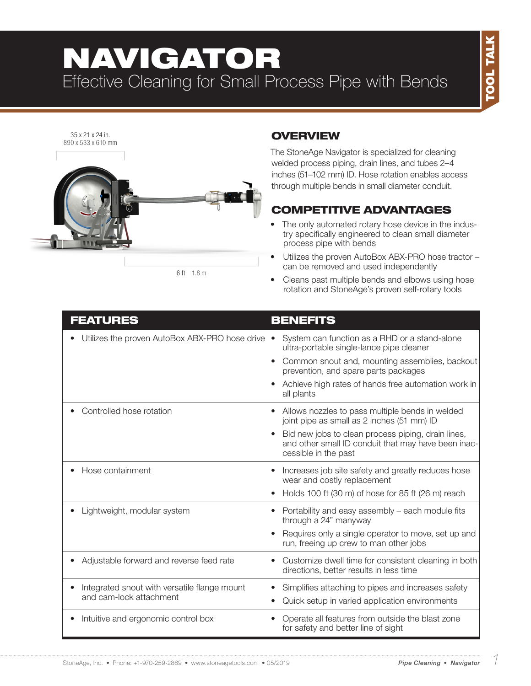# NAVIGATOR Effective Cleaning for Small Process Pipe with Bends



6 ft 1.8 m

### **OVERVIEW**

The StoneAge Navigator is specialized for cleaning welded process piping, drain lines, and tubes 2–4 inches (51–102 mm) ID. Hose rotation enables access through multiple bends in small diameter conduit.

## COMPETITIVE ADVANTAGES

- The only automated rotary hose device in the industry specifically engineered to clean small diameter process pipe with bends
- Utilizes the proven AutoBox ABX-PRO hose tractor can be removed and used independently
- Cleans past multiple bends and elbows using hose rotation and StoneAge's proven self-rotary tools

#### FEATURES BENEFITS

| Utilizes the proven AutoBox ABX-PRO hose drive                          | System can function as a RHD or a stand-alone<br>ultra-portable single-lance pipe cleaner<br>Common snout and, mounting assemblies, backout<br>$\bullet$<br>prevention, and spare parts packages<br>Achieve high rates of hands free automation work in<br>all plants |
|-------------------------------------------------------------------------|-----------------------------------------------------------------------------------------------------------------------------------------------------------------------------------------------------------------------------------------------------------------------|
| Controlled hose rotation                                                | Allows nozzles to pass multiple bends in welded<br>joint pipe as small as 2 inches (51 mm) ID<br>Bid new jobs to clean process piping, drain lines,<br>and other small ID conduit that may have been inac-<br>cessible in the past                                    |
| Hose containment                                                        | Increases job site safety and greatly reduces hose<br>wear and costly replacement<br>Holds 100 ft (30 m) of hose for 85 ft (26 m) reach                                                                                                                               |
| Lightweight, modular system                                             | Portability and easy assembly – each module fits<br>through a 24" manyway<br>Requires only a single operator to move, set up and<br>run, freeing up crew to man other jobs                                                                                            |
| Adjustable forward and reverse feed rate                                | Customize dwell time for consistent cleaning in both<br>$\bullet$<br>directions, better results in less time                                                                                                                                                          |
| Integrated snout with versatile flange mount<br>and cam-lock attachment | Simplifies attaching to pipes and increases safety<br>Quick setup in varied application environments                                                                                                                                                                  |
| Intuitive and ergonomic control box                                     | Operate all features from outside the blast zone<br>$\bullet$<br>for safety and better line of sight                                                                                                                                                                  |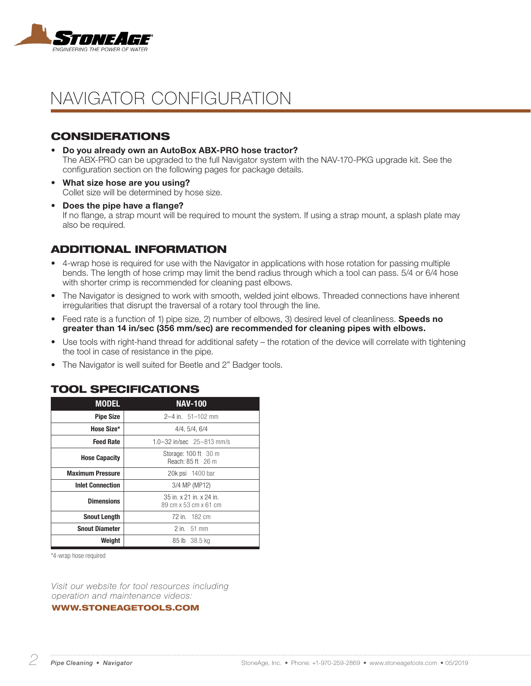

# NAVIGATOR CONFIGURATION

#### CONSIDERATIONS

- Do you already own an AutoBox ABX-PRO hose tractor? The ABX-PRO can be upgraded to the full Navigator system with the NAV-170-PKG upgrade kit. See the configuration section on the following pages for package details.
- What size hose are you using? Collet size will be determined by hose size.
- Does the pipe have a flange? If no flange, a strap mount will be required to mount the system. If using a strap mount, a splash plate may also be required.

#### ADDITIONAL INFORMATION

- 4-wrap hose is required for use with the Navigator in applications with hose rotation for passing multiple bends. The length of hose crimp may limit the bend radius through which a tool can pass. 5/4 or 6/4 hose with shorter crimp is recommended for cleaning past elbows.
- The Navigator is designed to work with smooth, welded joint elbows. Threaded connections have inherent irregularities that disrupt the traversal of a rotary tool through the line.
- Feed rate is a function of 1) pipe size, 2) number of elbows, 3) desired level of cleanliness. **Speeds no** greater than 14 in/sec (356 mm/sec) are recommended for cleaning pipes with elbows.
- Use tools with right-hand thread for additional safety the rotation of the device will correlate with tightening the tool in case of resistance in the pipe.
- The Navigator is well suited for Beetle and 2" Badger tools.

#### TOOL SPECIFICATIONS

| <b>MODEL</b>            | <b>NAV-100</b>                                    |  |  |
|-------------------------|---------------------------------------------------|--|--|
| <b>Pipe Size</b>        | $2-4$ in. $51-102$ mm                             |  |  |
| Hose Size*              | 4/4, 5/4, 6/4                                     |  |  |
| <b>Feed Rate</b>        | 1.0-32 in/sec 25-813 mm/s                         |  |  |
| <b>Hose Capacity</b>    | Storage: 100 ft 30 m<br>Reach: 85 ft 26 m         |  |  |
| <b>Maximum Pressure</b> | 20k psi 1400 bar                                  |  |  |
| <b>Inlet Connection</b> | 3/4 MP (MP12)                                     |  |  |
| <b>Dimensions</b>       | 35 in. x 21 in. x 24 in.<br>89 cm x 53 cm x 61 cm |  |  |
| <b>Snout Length</b>     | 72 in. 182 cm                                     |  |  |
| <b>Snout Diameter</b>   | 2 in. 51 mm                                       |  |  |
| Weight                  | 85 lb 38.5 kg                                     |  |  |

\*4-wrap hose required

*Visit our website for tool resources including operation and maintenance videos:* 

WWW.STONEAGETOOLS.COM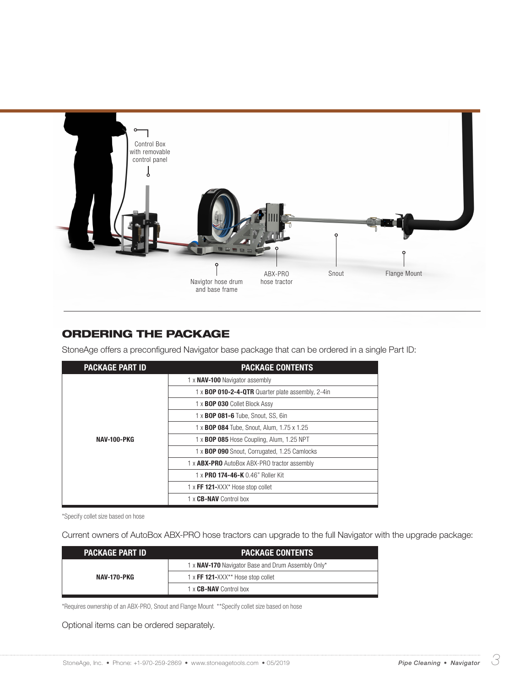

### ORDERING THE PACKAGE

StoneAge offers a preconfigured Navigator base package that can be ordered in a single Part ID:

| <b>PACKAGE PART ID</b> | <b>PACKAGE CONTENTS</b>                             |  |
|------------------------|-----------------------------------------------------|--|
|                        | 1 x NAV-100 Navigator assembly                      |  |
|                        | 1 x BOP 010-2-4-QTR Quarter plate assembly, 2-4in   |  |
|                        | 1 x BOP 030 Collet Block Assy                       |  |
|                        | 1 x <b>BOP 081-6</b> Tube, Snout, SS, 6in           |  |
|                        | 1 x <b>BOP 084</b> Tube, Snout, Alum, 1.75 x 1.25   |  |
| <b>NAV-100-PKG</b>     | 1 x <b>BOP 085</b> Hose Coupling, Alum, 1.25 NPT    |  |
|                        | 1 x BOP 090 Snout, Corrugated, 1.25 Camlocks        |  |
|                        | 1 x <b>ABX-PRO</b> AutoBox ABX-PRO tractor assembly |  |
|                        | 1 x PRO 174-46-K 0.46" Roller Kit                   |  |
|                        | 1 x FF 121-XXX* Hose stop collet                    |  |
|                        | 1 x <b>CB-NAV</b> Control box                       |  |

\*Specify collet size based on hose

Current owners of AutoBox ABX-PRO hose tractors can upgrade to the full Navigator with the upgrade package:

| I PACKAGE PART ID ' | <b>PACKAGE CONTENTS</b>                                   |
|---------------------|-----------------------------------------------------------|
| NAV-170-PKG         | 1 x <b>NAV-170</b> Navigator Base and Drum Assembly Only* |
|                     | 1 x FF 121-XXX** Hose stop collet                         |
|                     | 1 x <b>CB-NAV</b> Control box                             |

\*Requires ownership of an ABX-PRO, Snout and Flange Mount \*\*Specify collet size based on hose

Optional items can be ordered separately.